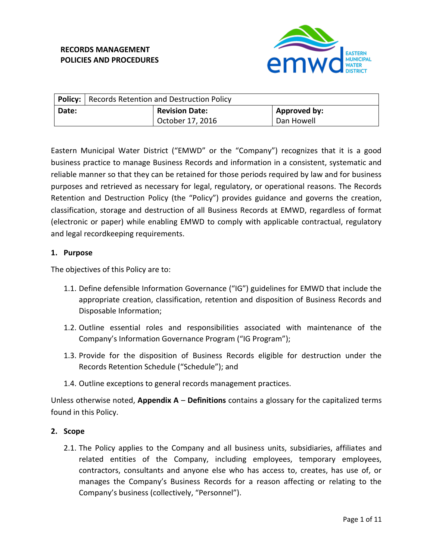# **RECORDS MANAGEMENT POLICIES AND PROCEDURES**



|       | <b>Policy:</b>   Records Retention and Destruction Policy |                       |              |
|-------|-----------------------------------------------------------|-----------------------|--------------|
| Date: |                                                           | <b>Revision Date:</b> | Approved by: |
|       |                                                           | October 17, 2016      | Dan Howell   |

Eastern Municipal Water District ("EMWD" or the "Company") recognizes that it is a good business practice to manage Business Records and information in a consistent, systematic and reliable manner so that they can be retained for those periods required by law and for business purposes and retrieved as necessary for legal, regulatory, or operational reasons. The Records Retention and Destruction Policy (the "Policy") provides guidance and governs the creation, classification, storage and destruction of all Business Records at EMWD, regardless of format (electronic or paper) while enabling EMWD to comply with applicable contractual, regulatory and legal recordkeeping requirements.

#### **1. Purpose**

The objectives of this Policy are to:

- 1.1. Define defensible Information Governance ("IG") guidelines for EMWD that include the appropriate creation, classification, retention and disposition of Business Records and Disposable Information;
- 1.2. Outline essential roles and responsibilities associated with maintenance of the Company's Information Governance Program ("IG Program");
- 1.3. Provide for the disposition of Business Records eligible for destruction under the Records Retention Schedule ("Schedule"); and
- 1.4. Outline exceptions to general records management practices.

Unless otherwise noted, **Appendix A** – **Definitions** contains a glossary for the capitalized terms found in this Policy.

## **2. Scope**

2.1. The Policy applies to the Company and all business units, subsidiaries, affiliates and related entities of the Company, including employees, temporary employees, contractors, consultants and anyone else who has access to, creates, has use of, or manages the Company's Business Records for a reason affecting or relating to the Company's business (collectively, "Personnel").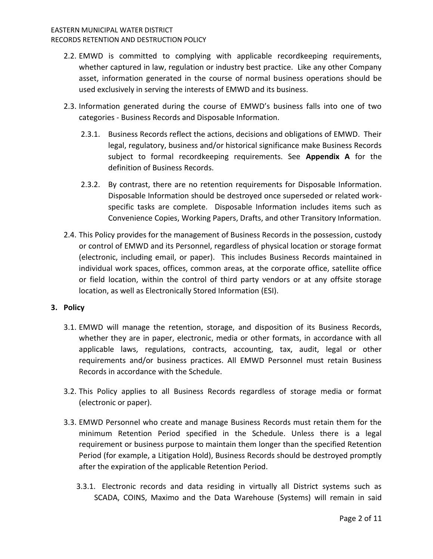- 2.2. EMWD is committed to complying with applicable recordkeeping requirements, whether captured in law, regulation or industry best practice. Like any other Company asset, information generated in the course of normal business operations should be used exclusively in serving the interests of EMWD and its business.
- 2.3. Information generated during the course of EMWD's business falls into one of two categories - Business Records and Disposable Information.
	- 2.3.1. Business Records reflect the actions, decisions and obligations of EMWD. Their legal, regulatory, business and/or historical significance make Business Records subject to formal recordkeeping requirements. See **Appendix A** for the definition of Business Records.
	- 2.3.2. By contrast, there are no retention requirements for Disposable Information. Disposable Information should be destroyed once superseded or related workspecific tasks are complete. Disposable Information includes items such as Convenience Copies, Working Papers, Drafts, and other Transitory Information.
- 2.4. This Policy provides for the management of Business Records in the possession, custody or control of EMWD and its Personnel, regardless of physical location or storage format (electronic, including email, or paper). This includes Business Records maintained in individual work spaces, offices, common areas, at the corporate office, satellite office or field location, within the control of third party vendors or at any offsite storage location, as well as Electronically Stored Information (ESI).

## **3. Policy**

- 3.1. EMWD will manage the retention, storage, and disposition of its Business Records, whether they are in paper, electronic, media or other formats, in accordance with all applicable laws, regulations, contracts, accounting, tax, audit, legal or other requirements and/or business practices. All EMWD Personnel must retain Business Records in accordance with the Schedule.
- 3.2. This Policy applies to all Business Records regardless of storage media or format (electronic or paper).
- 3.3. EMWD Personnel who create and manage Business Records must retain them for the minimum Retention Period specified in the Schedule. Unless there is a legal requirement or business purpose to maintain them longer than the specified Retention Period (for example, a Litigation Hold), Business Records should be destroyed promptly after the expiration of the applicable Retention Period.
	- 3.3.1. Electronic records and data residing in virtually all District systems such as SCADA, COINS, Maximo and the Data Warehouse (Systems) will remain in said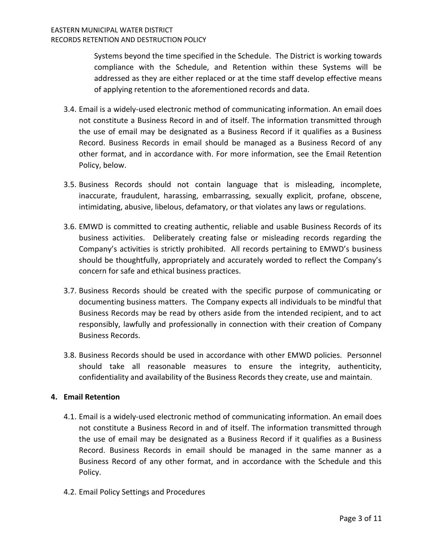Systems beyond the time specified in the Schedule. The District is working towards compliance with the Schedule, and Retention within these Systems will be addressed as they are either replaced or at the time staff develop effective means of applying retention to the aforementioned records and data.

- 3.4. Email is a widely-used electronic method of communicating information. An email does not constitute a Business Record in and of itself. The information transmitted through the use of email may be designated as a Business Record if it qualifies as a Business Record. Business Records in email should be managed as a Business Record of any other format, and in accordance with. For more information, see the Email Retention Policy, below.
- 3.5. Business Records should not contain language that is misleading, incomplete, inaccurate, fraudulent, harassing, embarrassing, sexually explicit, profane, obscene, intimidating, abusive, libelous, defamatory, or that violates any laws or regulations.
- 3.6. EMWD is committed to creating authentic, reliable and usable Business Records of its business activities. Deliberately creating false or misleading records regarding the Company's activities is strictly prohibited. All records pertaining to EMWD's business should be thoughtfully, appropriately and accurately worded to reflect the Company's concern for safe and ethical business practices.
- 3.7. Business Records should be created with the specific purpose of communicating or documenting business matters. The Company expects all individuals to be mindful that Business Records may be read by others aside from the intended recipient, and to act responsibly, lawfully and professionally in connection with their creation of Company Business Records.
- 3.8. Business Records should be used in accordance with other EMWD policies. Personnel should take all reasonable measures to ensure the integrity, authenticity, confidentiality and availability of the Business Records they create, use and maintain.

## **4. Email Retention**

- 4.1. Email is a widely-used electronic method of communicating information. An email does not constitute a Business Record in and of itself. The information transmitted through the use of email may be designated as a Business Record if it qualifies as a Business Record. Business Records in email should be managed in the same manner as a Business Record of any other format, and in accordance with the Schedule and this Policy.
- 4.2. Email Policy Settings and Procedures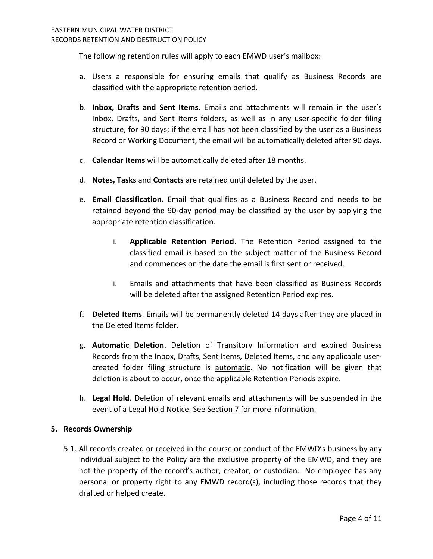The following retention rules will apply to each EMWD user's mailbox:

- a. Users a responsible for ensuring emails that qualify as Business Records are classified with the appropriate retention period.
- b. **Inbox, Drafts and Sent Items**. Emails and attachments will remain in the user's Inbox, Drafts, and Sent Items folders, as well as in any user-specific folder filing structure, for 90 days; if the email has not been classified by the user as a Business Record or Working Document, the email will be automatically deleted after 90 days.
- c. **Calendar Items** will be automatically deleted after 18 months.
- d. **Notes, Tasks** and **Contacts** are retained until deleted by the user.
- e. **Email Classification.** Email that qualifies as a Business Record and needs to be retained beyond the 90-day period may be classified by the user by applying the appropriate retention classification.
	- i. **Applicable Retention Period**. The Retention Period assigned to the classified email is based on the subject matter of the Business Record and commences on the date the email is first sent or received.
	- ii. Emails and attachments that have been classified as Business Records will be deleted after the assigned Retention Period expires.
- f. **Deleted Items**. Emails will be permanently deleted 14 days after they are placed in the Deleted Items folder.
- g. **Automatic Deletion**. Deletion of Transitory Information and expired Business Records from the Inbox, Drafts, Sent Items, Deleted Items, and any applicable usercreated folder filing structure is automatic. No notification will be given that deletion is about to occur, once the applicable Retention Periods expire.
- h. **Legal Hold**. Deletion of relevant emails and attachments will be suspended in the event of a Legal Hold Notice. See Section 7 for more information.

## **5. Records Ownership**

5.1. All records created or received in the course or conduct of the EMWD's business by any individual subject to the Policy are the exclusive property of the EMWD, and they are not the property of the record's author, creator, or custodian. No employee has any personal or property right to any EMWD record(s), including those records that they drafted or helped create.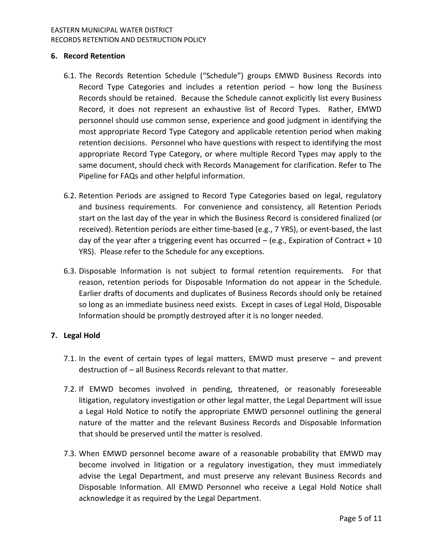#### EASTERN MUNICIPAL WATER DISTRICT RECORDS RETENTION AND DESTRUCTION POLICY

## **6. Record Retention**

- 6.1. The Records Retention Schedule ("Schedule") groups EMWD Business Records into Record Type Categories and includes a retention period – how long the Business Records should be retained. Because the Schedule cannot explicitly list every Business Record, it does not represent an exhaustive list of Record Types. Rather, EMWD personnel should use common sense, experience and good judgment in identifying the most appropriate Record Type Category and applicable retention period when making retention decisions. Personnel who have questions with respect to identifying the most appropriate Record Type Category, or where multiple Record Types may apply to the same document, should check with Records Management for clarification. Refer to The Pipeline for FAQs and other helpful information.
- 6.2. Retention Periods are assigned to Record Type Categories based on legal, regulatory and business requirements. For convenience and consistency, all Retention Periods start on the last day of the year in which the Business Record is considered finalized (or received). Retention periods are either time-based (e.g., 7 YRS), or event-based, the last day of the year after a triggering event has occurred  $-$  (e.g., Expiration of Contract  $+10$ YRS). Please refer to the Schedule for any exceptions.
- 6.3. Disposable Information is not subject to formal retention requirements. For that reason, retention periods for Disposable Information do not appear in the Schedule. Earlier drafts of documents and duplicates of Business Records should only be retained so long as an immediate business need exists. Except in cases of Legal Hold, Disposable Information should be promptly destroyed after it is no longer needed.

## **7. Legal Hold**

- 7.1. In the event of certain types of legal matters, EMWD must preserve and prevent destruction of – all Business Records relevant to that matter.
- 7.2. If EMWD becomes involved in pending, threatened, or reasonably foreseeable litigation, regulatory investigation or other legal matter, the Legal Department will issue a Legal Hold Notice to notify the appropriate EMWD personnel outlining the general nature of the matter and the relevant Business Records and Disposable Information that should be preserved until the matter is resolved.
- 7.3. When EMWD personnel become aware of a reasonable probability that EMWD may become involved in litigation or a regulatory investigation, they must immediately advise the Legal Department, and must preserve any relevant Business Records and Disposable Information. All EMWD Personnel who receive a Legal Hold Notice shall acknowledge it as required by the Legal Department.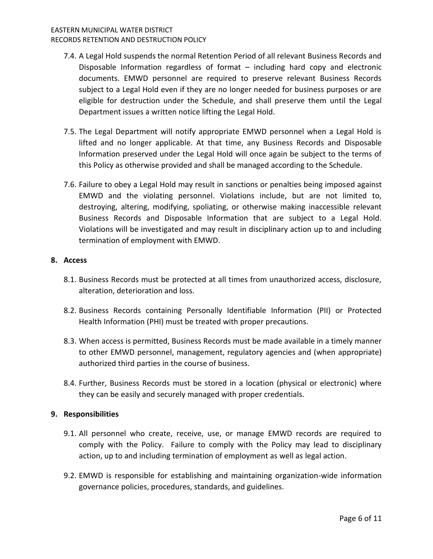#### EASTERN MUNICIPAL WATER DISTRICT RECORDS RETENTION AND DESTRUCTION POLICY

- 7.4. A Legal Hold suspends the normal Retention Period of all relevant Business Records and Disposable Information regardless of format – including hard copy and electronic documents. EMWD personnel are required to preserve relevant Business Records subject to a Legal Hold even if they are no longer needed for business purposes or are eligible for destruction under the Schedule, and shall preserve them until the Legal Department issues a written notice lifting the Legal Hold.
- 7.5. The Legal Department will notify appropriate EMWD personnel when a Legal Hold is lifted and no longer applicable. At that time, any Business Records and Disposable Information preserved under the Legal Hold will once again be subject to the terms of this Policy as otherwise provided and shall be managed according to the Schedule.
- 7.6. Failure to obey a Legal Hold may result in sanctions or penalties being imposed against EMWD and the violating personnel. Violations include, but are not limited to, destroying, altering, modifying, spoliating, or otherwise making inaccessible relevant Business Records and Disposable Information that are subject to a Legal Hold. Violations will be investigated and may result in disciplinary action up to and including termination of employment with EMWD.

## **8. Access**

- 8.1. Business Records must be protected at all times from unauthorized access, disclosure, alteration, deterioration and loss.
- 8.2. Business Records containing Personally Identifiable Information (PII) or Protected Health Information (PHI) must be treated with proper precautions.
- 8.3. When access is permitted, Business Records must be made available in a timely manner to other EMWD personnel, management, regulatory agencies and (when appropriate) authorized third parties in the course of business.
- 8.4. Further, Business Records must be stored in a location (physical or electronic) where they can be easily and securely managed with proper credentials.

## **9. Responsibilities**

- 9.1. All personnel who create, receive, use, or manage EMWD records are required to comply with the Policy. Failure to comply with the Policy may lead to disciplinary action, up to and including termination of employment as well as legal action.
- 9.2. EMWD is responsible for establishing and maintaining organization-wide information governance policies, procedures, standards, and guidelines.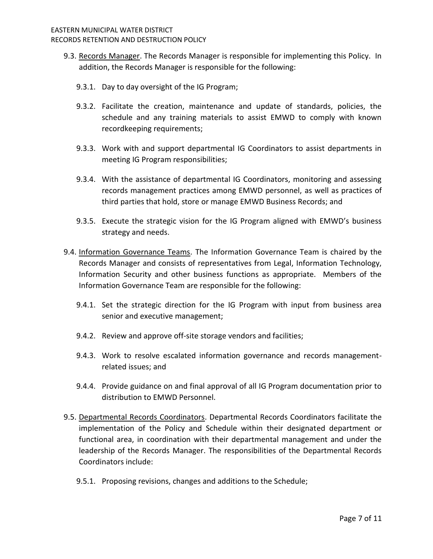- 9.3. Records Manager. The Records Manager is responsible for implementing this Policy. In addition, the Records Manager is responsible for the following:
	- 9.3.1. Day to day oversight of the IG Program;
	- 9.3.2. Facilitate the creation, maintenance and update of standards, policies, the schedule and any training materials to assist EMWD to comply with known recordkeeping requirements;
	- 9.3.3. Work with and support departmental IG Coordinators to assist departments in meeting IG Program responsibilities;
	- 9.3.4. With the assistance of departmental IG Coordinators, monitoring and assessing records management practices among EMWD personnel, as well as practices of third parties that hold, store or manage EMWD Business Records; and
	- 9.3.5. Execute the strategic vision for the IG Program aligned with EMWD's business strategy and needs.
- 9.4. Information Governance Teams. The Information Governance Team is chaired by the Records Manager and consists of representatives from Legal, Information Technology, Information Security and other business functions as appropriate. Members of the Information Governance Team are responsible for the following:
	- 9.4.1. Set the strategic direction for the IG Program with input from business area senior and executive management;
	- 9.4.2. Review and approve off-site storage vendors and facilities;
	- 9.4.3. Work to resolve escalated information governance and records managementrelated issues; and
	- 9.4.4. Provide guidance on and final approval of all IG Program documentation prior to distribution to EMWD Personnel.
- 9.5. Departmental Records Coordinators. Departmental Records Coordinators facilitate the implementation of the Policy and Schedule within their designated department or functional area, in coordination with their departmental management and under the leadership of the Records Manager. The responsibilities of the Departmental Records Coordinators include:
	- 9.5.1. Proposing revisions, changes and additions to the Schedule;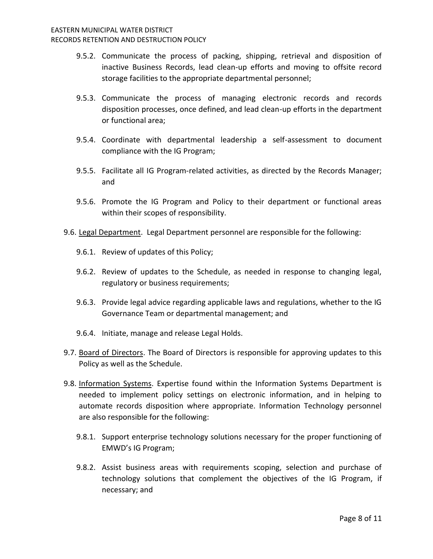- 9.5.2. Communicate the process of packing, shipping, retrieval and disposition of inactive Business Records, lead clean-up efforts and moving to offsite record storage facilities to the appropriate departmental personnel;
- 9.5.3. Communicate the process of managing electronic records and records disposition processes, once defined, and lead clean-up efforts in the department or functional area;
- 9.5.4. Coordinate with departmental leadership a self-assessment to document compliance with the IG Program;
- 9.5.5. Facilitate all IG Program-related activities, as directed by the Records Manager; and
- 9.5.6. Promote the IG Program and Policy to their department or functional areas within their scopes of responsibility.
- 9.6. Legal Department. Legal Department personnel are responsible for the following:
	- 9.6.1. Review of updates of this Policy;
	- 9.6.2. Review of updates to the Schedule, as needed in response to changing legal, regulatory or business requirements;
	- 9.6.3. Provide legal advice regarding applicable laws and regulations, whether to the IG Governance Team or departmental management; and
	- 9.6.4. Initiate, manage and release Legal Holds.
- 9.7. Board of Directors. The Board of Directors is responsible for approving updates to this Policy as well as the Schedule.
- 9.8. Information Systems. Expertise found within the Information Systems Department is needed to implement policy settings on electronic information, and in helping to automate records disposition where appropriate. Information Technology personnel are also responsible for the following:
	- 9.8.1. Support enterprise technology solutions necessary for the proper functioning of EMWD's IG Program;
	- 9.8.2. Assist business areas with requirements scoping, selection and purchase of technology solutions that complement the objectives of the IG Program, if necessary; and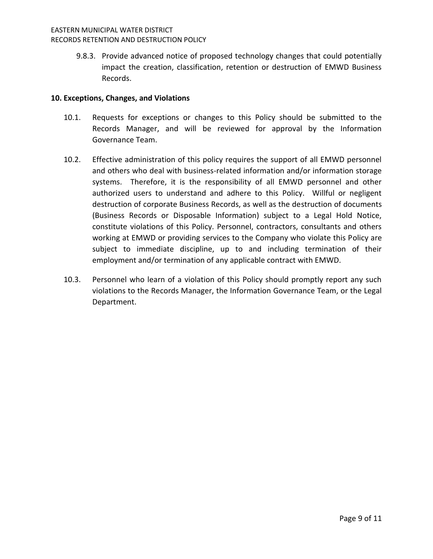9.8.3. Provide advanced notice of proposed technology changes that could potentially impact the creation, classification, retention or destruction of EMWD Business Records.

#### **10. Exceptions, Changes, and Violations**

- 10.1. Requests for exceptions or changes to this Policy should be submitted to the Records Manager, and will be reviewed for approval by the Information Governance Team.
- 10.2. Effective administration of this policy requires the support of all EMWD personnel and others who deal with business-related information and/or information storage systems. Therefore, it is the responsibility of all EMWD personnel and other authorized users to understand and adhere to this Policy. Willful or negligent destruction of corporate Business Records, as well as the destruction of documents (Business Records or Disposable Information) subject to a Legal Hold Notice, constitute violations of this Policy. Personnel, contractors, consultants and others working at EMWD or providing services to the Company who violate this Policy are subject to immediate discipline, up to and including termination of their employment and/or termination of any applicable contract with EMWD.
- 10.3. Personnel who learn of a violation of this Policy should promptly report any such violations to the Records Manager, the Information Governance Team, or the Legal Department.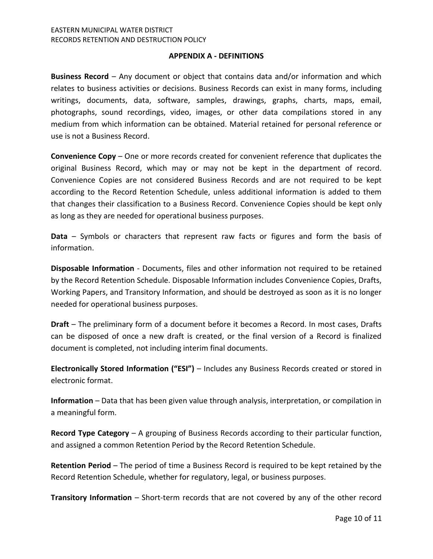#### **APPENDIX A - DEFINITIONS**

**Business Record** – Any document or object that contains data and/or information and which relates to business activities or decisions. Business Records can exist in many forms, including writings, documents, data, software, samples, drawings, graphs, charts, maps, email, photographs, sound recordings, video, images, or other data compilations stored in any medium from which information can be obtained. Material retained for personal reference or use is not a Business Record.

**Convenience Copy** – One or more records created for convenient reference that duplicates the original Business Record, which may or may not be kept in the department of record. Convenience Copies are not considered Business Records and are not required to be kept according to the Record Retention Schedule, unless additional information is added to them that changes their classification to a Business Record. Convenience Copies should be kept only as long as they are needed for operational business purposes.

**Data** – Symbols or characters that represent raw facts or figures and form the basis of information.

**Disposable Information** - Documents, files and other information not required to be retained by the Record Retention Schedule. Disposable Information includes Convenience Copies, Drafts, Working Papers, and Transitory Information, and should be destroyed as soon as it is no longer needed for operational business purposes.

**Draft** – The preliminary form of a document before it becomes a Record. In most cases, Drafts can be disposed of once a new draft is created, or the final version of a Record is finalized document is completed, not including interim final documents.

**Electronically Stored Information ("ESI")** – Includes any Business Records created or stored in electronic format.

**Information** – Data that has been given value through analysis, interpretation, or compilation in a meaningful form.

**Record Type Category** – A grouping of Business Records according to their particular function, and assigned a common Retention Period by the Record Retention Schedule.

**Retention Period** – The period of time a Business Record is required to be kept retained by the Record Retention Schedule, whether for regulatory, legal, or business purposes.

**Transitory Information** – Short-term records that are not covered by any of the other record